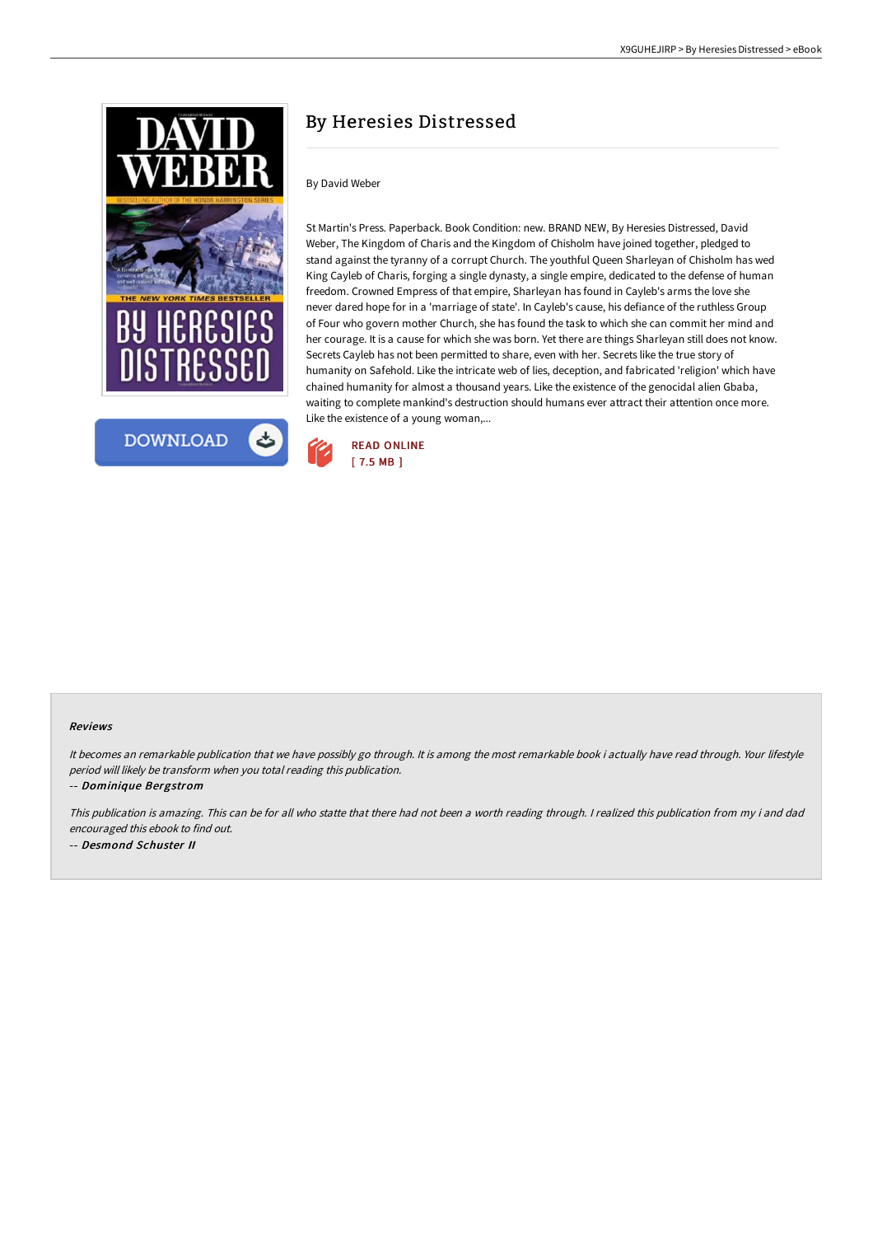



# By Heresies Distressed

# By David Weber

St Martin's Press. Paperback. Book Condition: new. BRAND NEW, By Heresies Distressed, David Weber, The Kingdom of Charis and the Kingdom of Chisholm have joined together, pledged to stand against the tyranny of a corrupt Church. The youthful Queen Sharleyan of Chisholm has wed King Cayleb of Charis, forging a single dynasty, a single empire, dedicated to the defense of human freedom. Crowned Empress of that empire, Sharleyan has found in Cayleb's arms the love she never dared hope for in a 'marriage of state'. In Cayleb's cause, his defiance of the ruthless Group of Four who govern mother Church, she has found the task to which she can commit her mind and her courage. It is a cause for which she was born. Yet there are things Sharleyan still does not know. Secrets Cayleb has not been permitted to share, even with her. Secrets like the true story of humanity on Safehold. Like the intricate web of lies, deception, and fabricated 'religion' which have chained humanity for almost a thousand years. Like the existence of the genocidal alien Gbaba, waiting to complete mankind's destruction should humans ever attract their attention once more. Like the existence of a young woman,...



#### Reviews

It becomes an remarkable publication that we have possibly go through. It is among the most remarkable book i actually have read through. Your lifestyle period will likely be transform when you total reading this publication.

-- Dominique Bergstrom

This publication is amazing. This can be for all who statte that there had not been <sup>a</sup> worth reading through. <sup>I</sup> realized this publication from my i and dad encouraged this ebook to find out. -- Desmond Schuster II